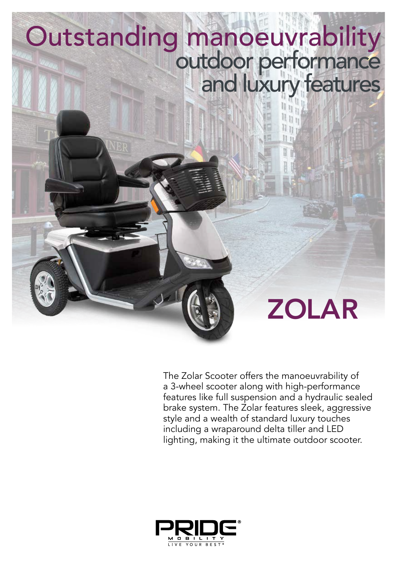# Outstanding manoeuvrability outdoor performance and luxury features

ZOLAR

The Zolar Scooter offers the manoeuvrability of a 3-wheel scooter along with high-performance features like full suspension and a hydraulic sealed brake system. The Zolar features sleek, aggressive style and a wealth of standard luxury touches including a wraparound delta tiller and LED lighting, making it the ultimate outdoor scooter.